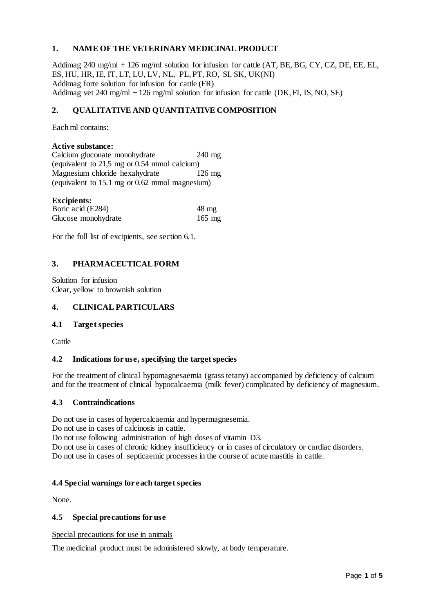## **1. NAME OF THE VETERINARY MEDICINAL PRODUCT**

Addimag 240 mg/ml + 126 mg/ml solution for infusion for cattle (AT, BE, BG, CY, CZ, DE, EE, EL, ES, HU, HR, IE, IT, LT, LU, LV, NL, PL, PT, RO, SI, SK, UK(NI) Addimag forte solution for infusion for cattle (FR) Addimag vet  $240 \text{ mg/ml} + 126 \text{ mg/ml}$  solution for infusion for cattle (DK, FI, IS, NO, SE)

## **2. QUALITATIVE AND QUANTITATIVE COMPOSITION**

Each ml contains:

### **Active substance:**

Calcium gluconate monohydrate 240 mg (equivalent to 21,5 mg or 0.54 mmol calcium) Magnesium chloride hexahydrate 126 mg (equivalent to 15.1 mg or 0.62 mmol magnesium)

# **Excipients:**

| Boric acid (E284)   | $48 \text{ mg}$ |
|---------------------|-----------------|
| Glucose monohydrate | $165$ mg        |

For the full list of excipients, see section 6.1.

### **3. PHARMACEUTICAL FORM**

Solution for infusion Clear, yellow to brownish solution

### **4. CLINICAL PARTICULARS**

### **4.1 Target species**

**Cattle** 

### **4.2 Indications for use, specifying the target species**

For the treatment of clinical hypomagnesaemia (grass tetany) accompanied by deficiency of calcium and for the treatment of clinical hypocalcaemia (milk fever) complicated by deficiency of magnesium.

### **4.3 Contraindications**

Do not use in cases of hypercalcaemia and hypermagnesemia.

Do not use in cases of calcinosis in cattle.

Do not use following administration of high doses of vitamin D3.

Do not use in cases of chronic kidney insufficiency or in cases of circulatory or cardiac disorders. Do not use in cases of septicaemic processes in the course of acute mastitis in cattle.

### **4.4 Special warnings for each target species**

None.

## **4.5 Special precautions for use**

Special precautions for use in animals

The medicinal product must be administered slowly, at body temperature.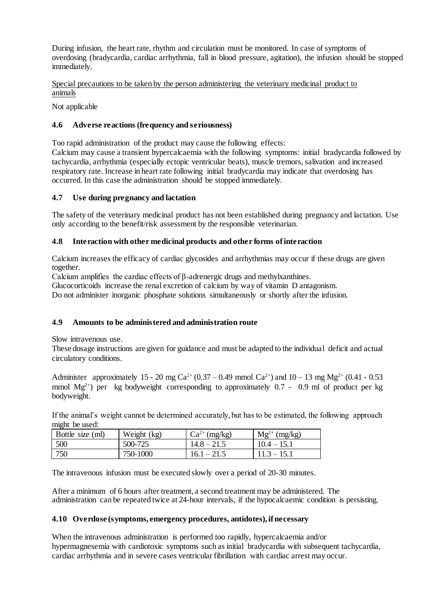During infusion, the heart rate, rhythm and circulation must be monitored. In case of symptoms of overdosing (bradycardia, cardiac arrhythmia, fall in blood pressure, agitation), the infusion should be stopped immediately.

Special precautions to be taken by the person administering the veterinary medicinal product to animals

Not applicable

## **4.6 Adverse reactions (frequency and seriousness)**

Too rapid administration of the product may cause the following effects:

Calcium may cause a transient hypercalcaemia with the following symptoms: initial bradycardia followed by tachycardia, arrhythmia (especially ectopic ventricular beats), muscle tremors, salivation and increased respiratory rate. Increase in heart rate following initial bradycardia may indicate that overdosing has occurred. In this case the administration should be stopped immediately.

### **4.7 Use during pregnancy and lactation**

The safety of the veterinary medicinal product has not been established during pregnancy and lactation. Use only according to the benefit/risk assessment by the responsible veterinarian.

### **4.8 Interaction with other medicinal products and other forms of interaction**

Calcium increases the efficacy of cardiac glycosides and arrhythmias may occur if these drugs are given together.

Calcium amplifies the cardiac effects of β-adrenergic drugs and methylxanthines.

Glucocorticoids increase the renal excretion of calcium by way of vitamin D antagonism.

Do not administer inorganic phosphate solutions simultaneously or shortly after the infusion.

## **4.9 Amounts to be administered and administration route**

Slow intravenous use.

These dosage instructions are given for guidance and must be adapted to the individual deficit and actual circulatory conditions.

Administer approximately 15 - 20 mg Ca<sup>2+</sup> (0.37 – 0.49 mmol Ca<sup>2+</sup>) and 10 – 13 mg Mg<sup>2+</sup> (0.41 - 0.53 mmol  $Mg^{2+}$ ) per kg bodyweight corresponding to approximately 0.7 - 0.9 ml of product per kg bodyweight.

If the animal's weight cannot be determined accurately, but has to be estimated, the following approach might be used:

| Bottle size (ml) | Weight (kg) | $Ca^{2+}$ (mg/kg) | $Mg^{2+}$ (mg/kg) |
|------------------|-------------|-------------------|-------------------|
| 500              | 500-725     | $14.8 - 21.5$     | $10.4 - 15.1$     |
| 750              | 750-1000    | $16.1 - 21.5$     | $11.3 - 15.1$     |

The intravenous infusion must be executed slowly over a period of 20-30 minutes.

After a minimum of 6 hours after treatment, a second treatment may be administered. The administration can be repeated twice at 24-hour intervals, if the hypocalcaemic condition is persisting.

### **4.10 Overdose (symptoms, emergency procedures, antidotes), if necessary**

When the intravenous administration is performed too rapidly, hypercalcaemia and/or hypermagnesemia with cardiotoxic symptoms such as initial bradycardia with subsequent tachycardia, cardiac arrhythmia and in severe cases ventricular fibrillation with cardiac arrest may occur.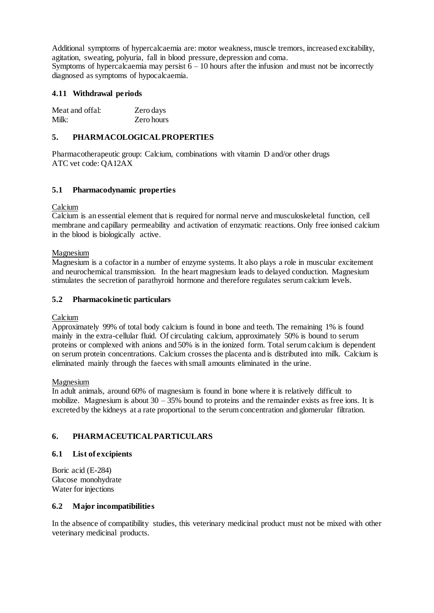Additional symptoms of hypercalcaemia are: motor weakness, muscle tremors, increased excitability, agitation, sweating, polyuria, fall in blood pressure, depression and coma. Symptoms of hypercalcaemia may persist  $6 - 10$  hours after the infusion and must not be incorrectly

diagnosed as symptoms of hypocalcaemia.

## **4.11 Withdrawal periods**

| Meat and offal: | Zero days  |
|-----------------|------------|
| Milk:           | Zero hours |

### **5. PHARMACOLOGICAL PROPERTIES**

Pharmacotherapeutic group: Calcium, combinations with vitamin D and/or other drugs ATC vet code: QA12AX

### **5.1 Pharmacodynamic properties**

Calcium

Calcium is an essential element that is required for normal nerve and musculoskeletal function, cell membrane and capillary permeability and activation of enzymatic reactions. Only free ionised calcium in the blood is biologically active.

### Magnesium

Magnesium is a cofactor in a number of enzyme systems. It also plays a role in muscular excitement and neurochemical transmission. In the heart magnesium leads to delayed conduction. Magnesium stimulates the secretion of parathyroid hormone and therefore regulates serum calcium levels.

### **5.2 Pharmacokinetic particulars**

Calcium

Approximately 99% of total body calcium is found in bone and teeth. The remaining 1% is found mainly in the extra-cellular fluid. Of circulating calcium, approximately 50% is bound to serum proteins or complexed with anions and 50% is in the ionized form. Total serum calcium is dependent on serum protein concentrations. Calcium crosses the placenta and is distributed into milk. Calcium is eliminated mainly through the faeces with small amounts eliminated in the urine.

### Magnesium

In adult animals, around 60% of magnesium is found in bone where it is relatively difficult to mobilize. Magnesium is about  $30 - 35\%$  bound to proteins and the remainder exists as free ions. It is excreted by the kidneys at a rate proportional to the serum concentration and glomerular filtration.

## **6. PHARMACEUTICAL PARTICULARS**

### **6.1 List of excipients**

Boric acid (E-284) Glucose monohydrate Water for injections

### **6.2 Major incompatibilities**

In the absence of compatibility studies, this veterinary medicinal product must not be mixed with other veterinary medicinal products.